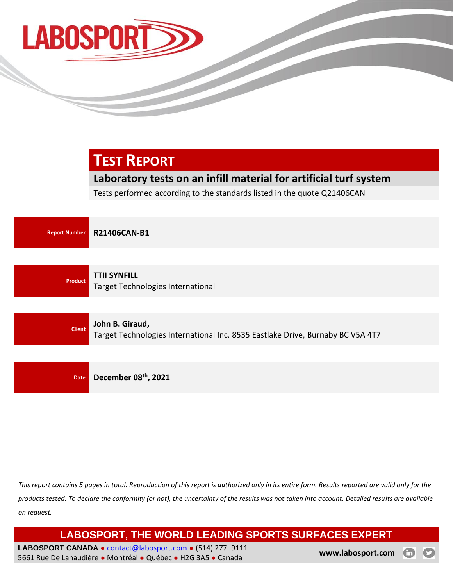

# **TEST REPORT**

## **Laboratory tests on an infill material for artificial turf system**

Tests performed according to the standards listed in the quote Q21406CAN



**Client John B. Giraud,**

Target Technologies International Inc. 8535 Eastlake Drive, Burnaby BC V5A 4T7

**Date December 08th, 2021**

*This report contains 5 pages in total. Reproduction of this report is authorized only in its entire form. Results reported are valid only for the products tested. To declare the conformity (or not), the uncertainty of the results was not taken into account. Detailed results are available on request.*

**LABOSPORT, THE WORLD LEADING SPORTS SURFACES EXPERT**

LABOSPORT CANADA · [contact@labosport.com](mailto:contact@labosport.com) · (514) 277-9111 5661 Rue De Lanaudière ● Montréal ● Québec ● H2G 3A5 ● Canada **[www.labosport.com](http://www.labosport.com/)**

 $\bf \oplus$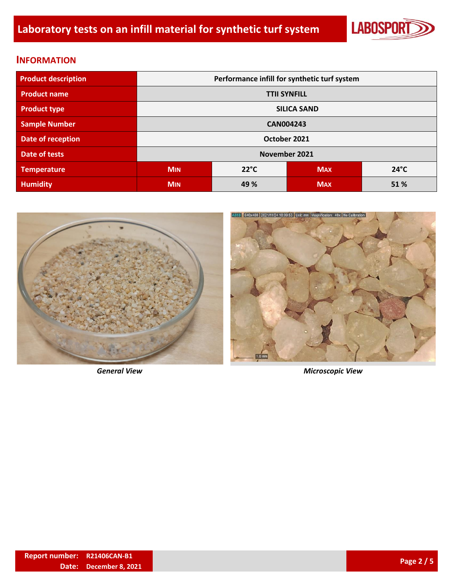

#### **INFORMATION**

| <b>Product description</b> | Performance infill for synthetic turf system |      |            |                |  |  |
|----------------------------|----------------------------------------------|------|------------|----------------|--|--|
| <b>Product name</b>        | <b>TTII SYNFILL</b>                          |      |            |                |  |  |
| <b>Product type</b>        | <b>SILICA SAND</b>                           |      |            |                |  |  |
| <b>Sample Number</b>       | <b>CAN004243</b>                             |      |            |                |  |  |
| Date of reception          | October 2021                                 |      |            |                |  |  |
| Date of tests              | November 2021                                |      |            |                |  |  |
| <b>Temperature</b>         | $22^{\circ}C$<br><b>MIN</b>                  |      | <b>MAX</b> | $24^{\circ}$ C |  |  |
| <b>Humidity</b>            | <b>MIN</b>                                   | 49 % | <b>MAX</b> | 51%            |  |  |





*General View Microscopic View*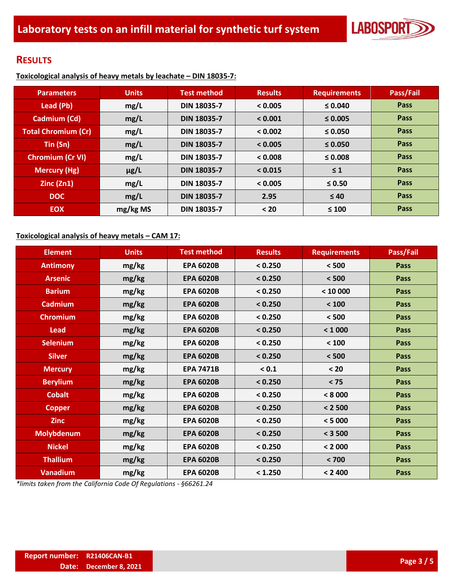

### **RESULTS**

**Toxicological analysis of heavy metals by leachate – DIN 18035-7:**

| <b>Parameters</b>          | <b>Units</b> | <b>Test method</b> | <b>Results</b> | <b>Requirements</b> | Pass/Fail |
|----------------------------|--------------|--------------------|----------------|---------------------|-----------|
| Lead (Pb)                  | mg/L         | <b>DIN 18035-7</b> | < 0.005        | $\leq 0.040$        | Pass      |
| Cadmium (Cd)               | mg/L         | <b>DIN 18035-7</b> | < 0.001        | $\leq 0.005$        | Pass      |
| <b>Total Chromium (Cr)</b> | mg/L         | <b>DIN 18035-7</b> | < 0.002        | $\leq 0.050$        | Pass      |
| Tin(Sn)                    | mg/L         | <b>DIN 18035-7</b> | < 0.005        | $\leq 0.050$        | Pass      |
| <b>Chromium (Cr VI)</b>    | mg/L         | <b>DIN 18035-7</b> | < 0.008        | $\leq 0.008$        | Pass      |
| <b>Mercury (Hg)</b>        | $\mu$ g/L    | <b>DIN 18035-7</b> | < 0.015        | $\leq 1$            | Pass      |
| Zinc (Zn1)                 | mg/L         | <b>DIN 18035-7</b> | < 0.005        | $\leq 0.50$         | Pass      |
| <b>DOC</b>                 | mg/L         | <b>DIN 18035-7</b> | 2.95           | $\leq 40$           | Pass      |
| <b>EOX</b>                 | mg/kg MS     | <b>DIN 18035-7</b> | < 20           | $\leq 100$          | Pass      |

#### **Toxicological analysis of heavy metals – CAM 17:**

| <b>Element</b>    | <b>Units</b> | <b>Test method</b> | <b>Results</b> | <b>Requirements</b> | Pass/Fail   |
|-------------------|--------------|--------------------|----------------|---------------------|-------------|
| <b>Antimony</b>   | mg/kg        | <b>EPA 6020B</b>   | < 0.250        | < 500               | <b>Pass</b> |
| <b>Arsenic</b>    | mg/kg        | <b>EPA 6020B</b>   | < 0.250        | < 500               | <b>Pass</b> |
| <b>Barium</b>     | mg/kg        | <b>EPA 6020B</b>   | < 0.250        | < 10000             | <b>Pass</b> |
| <b>Cadmium</b>    | mg/kg        | <b>EPA 6020B</b>   | < 0.250        | < 100               | Pass        |
| <b>Chromium</b>   | mg/kg        | <b>EPA 6020B</b>   | < 0.250        | < 500               | Pass        |
| <b>Lead</b>       | mg/kg        | <b>EPA 6020B</b>   | < 0.250        | < 1000              | Pass        |
| <b>Selenium</b>   | mg/kg        | <b>EPA 6020B</b>   | < 0.250        | < 100               | <b>Pass</b> |
| <b>Silver</b>     | mg/kg        | <b>EPA 6020B</b>   | < 0.250        | < 500               | <b>Pass</b> |
| <b>Mercury</b>    | mg/kg        | <b>EPA 7471B</b>   | < 0.1          | $20$                | <b>Pass</b> |
| <b>Berylium</b>   | mg/kg        | <b>EPA 6020B</b>   | < 0.250        | $< 75$              | <b>Pass</b> |
| <b>Cobalt</b>     | mg/kg        | <b>EPA 6020B</b>   | < 0.250        | < 8000              | <b>Pass</b> |
| <b>Copper</b>     | mg/kg        | <b>EPA 6020B</b>   | < 0.250        | < 2500              | <b>Pass</b> |
| <b>Zinc</b>       | mg/kg        | <b>EPA 6020B</b>   | < 0.250        | < 5000              | <b>Pass</b> |
| <b>Molybdenum</b> | mg/kg        | <b>EPA 6020B</b>   | < 0.250        | < 3500              | <b>Pass</b> |
| <b>Nickel</b>     | mg/kg        | <b>EPA 6020B</b>   | < 0.250        | < 2000              | <b>Pass</b> |
| <b>Thallium</b>   | mg/kg        | <b>EPA 6020B</b>   | < 0.250        | < 700               | <b>Pass</b> |
| <b>Vanadium</b>   | mg/kg        | <b>EPA 6020B</b>   | < 1.250        | < 2400              | Pass        |

*\*limits taken from the California Code Of Regulations - §66261.24*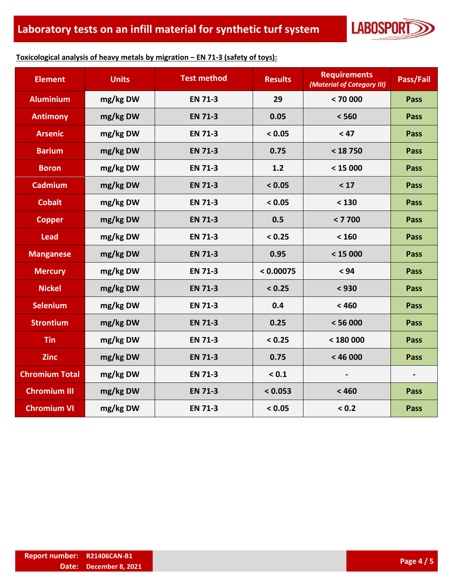

#### **Toxicological analysis of heavy metals by migration – EN 71-3 (safety of toys):**

| <b>Element</b>        | <b>Units</b> | <b>Test method</b> | <b>Results</b> | <b>Requirements</b><br>(Material of Category III) | Pass/Fail                |
|-----------------------|--------------|--------------------|----------------|---------------------------------------------------|--------------------------|
| <b>Aluminium</b>      | mg/kg DW     | <b>EN 71-3</b>     | 29             | < 70000                                           | Pass                     |
| <b>Antimony</b>       | mg/kg DW     | <b>EN 71-3</b>     | 0.05           | < 560                                             | <b>Pass</b>              |
| <b>Arsenic</b>        | mg/kg DW     | <b>EN 71-3</b>     | < 0.05         | < 47                                              | <b>Pass</b>              |
| <b>Barium</b>         | mg/kg DW     | <b>EN 71-3</b>     | 0.75           | < 18750                                           | Pass                     |
| <b>Boron</b>          | mg/kg DW     | <b>EN 71-3</b>     | $1.2$          | < 15000                                           | <b>Pass</b>              |
| <b>Cadmium</b>        | mg/kg DW     | <b>EN 71-3</b>     | < 0.05         | < 17                                              | <b>Pass</b>              |
| <b>Cobalt</b>         | mg/kg DW     | <b>EN 71-3</b>     | < 0.05         | < 130                                             | Pass                     |
| <b>Copper</b>         | mg/kg DW     | <b>EN 71-3</b>     | 0.5            | < 7700                                            | <b>Pass</b>              |
| <b>Lead</b>           | mg/kg DW     | <b>EN 71-3</b>     | < 0.25         | < 160                                             | <b>Pass</b>              |
| <b>Manganese</b>      | mg/kg DW     | <b>EN 71-3</b>     | 0.95           | < 15000                                           | Pass                     |
| <b>Mercury</b>        | mg/kg DW     | <b>EN 71-3</b>     | < 0.00075      | < 94                                              | <b>Pass</b>              |
| <b>Nickel</b>         | mg/kg DW     | <b>EN 71-3</b>     | < 0.25         | < 930                                             | <b>Pass</b>              |
| <b>Selenium</b>       | mg/kg DW     | <b>EN 71-3</b>     | 0.4            | < 460                                             | <b>Pass</b>              |
| <b>Strontium</b>      | mg/kg DW     | <b>EN 71-3</b>     | 0.25           | < 56000                                           | <b>Pass</b>              |
| <b>Tin</b>            | mg/kg DW     | <b>EN 71-3</b>     | < 0.25         | < 180000                                          | <b>Pass</b>              |
| <b>Zinc</b>           | mg/kg DW     | <b>EN 71-3</b>     | 0.75           | < 46000                                           | <b>Pass</b>              |
| <b>Chromium Total</b> | mg/kg DW     | <b>EN 71-3</b>     | < 0.1          |                                                   | $\overline{\phantom{a}}$ |
| <b>Chromium III</b>   | mg/kg DW     | <b>EN 71-3</b>     | < 0.053        | < 460                                             | <b>Pass</b>              |
| <b>Chromium VI</b>    | mg/kg DW     | <b>EN 71-3</b>     | < 0.05         | < 0.2                                             | <b>Pass</b>              |